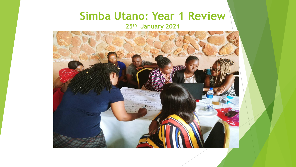### **Simba Utano: Year 1 Review**

**25th January 2021**

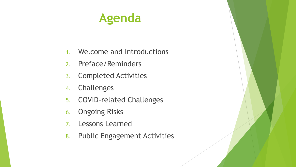# **Agenda**

- 1. Welcome and Introductions
- 2. Preface/Reminders
- 3. Completed Activities
- 4. Challenges
- 5. COVID-related Challenges
- 6. Ongoing Risks
- 7. Lessons Learned
- 8. Public Engagement Activities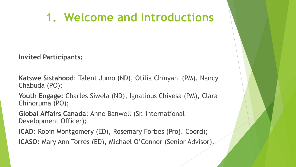## **1. Welcome and Introductions**

**Invited Participants:**

**Katswe Sistahood**: Talent Jumo (ND), Otilia Chinyani (PM), Nancy Chabuda (PO);

**Youth Engage:** Charles Siwela (ND), Ignatious Chivesa (PM), Clara Chinoruma (PO);

**Global Affairs Canada**: Anne Banwell (Sr. International Development Officer);

**ICAD:** Robin Montgomery (ED), Rosemary Forbes (Proj. Coord);

**ICASO:** Mary Ann Torres (ED), Michael O'Connor (Senior Advisor).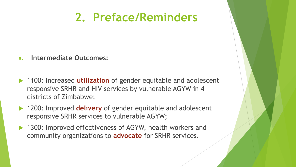## **2. Preface/Reminders**

- **a. Intermediate Outcomes:**
- **► 1100: Increased utilization** of gender equitable and adolescent responsive SRHR and HIV services by vulnerable AGYW in 4 districts of Zimbabwe;
- **► 1200: Improved delivery** of gender equitable and adolescent responsive SRHR services to vulnerable AGYW;
- ▶ 1300: Improved effectiveness of AGYW, health workers and community organizations to **advocate** for SRHR services.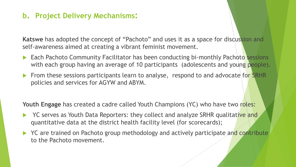#### **b. Project Delivery Mechanisms:**

**Katswe** has adopted the concept of "Pachoto" and uses it as a space for discussion and self-awareness aimed at creating a vibrant feminist movement.

- **Each Pachoto Community Facilitator has been conducting bi-monthly Pachoto sessions** with each group having an average of 10 participants (adolescents and young people).
- From these sessions participants learn to analyse, respond to and advocate for SRHR policies and services for AGYW and ABYM.

**Youth Engage** has created a cadre called Youth Champions (YC) who have two roles:

- YC serves as Youth Data Reporters: they collect and analyze SRHR qualitative and quantitative data at the district health facility level (for scorecards);
- YC are trained on Pachoto group methodology and actively participate and contribute to the Pachoto movement.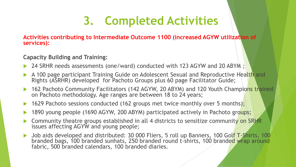# **3. Completed Activities**

**Activities contributing to Intermediate Outcome 1100 (increased AGYW utilization of services):**

#### **Capacity Building and Training:**

- ▶ 24 SRHR needs assessments (one/ward) conducted with 123 AGYW and 20 ABYM;
- A 100 page participant Training Guide on Adolescent Sexual and Reproductive Health and Rights (ASRHR) developed for Pachoto Groups plus 60 page Facilitator Guide;
- 162 Pachoto Community Facilitators (142 AGYW, 20 ABYM) and 120 Youth Champions trained on Pachoto methodology. Age ranges are between 18 to 24 years;
- 1629 Pachoto sessions conducted (162 groups met twice monthly over 5 months);
- 1890 young people (1690 AGYW, 200 ABYM) participated actively in Pachoto groups;
- Community theatre groups established in all 4 districts to sensitize community on SRHR issues affecting AGYW and young people;
- Job aids developed and distributed: 30 000 Fliers, 5 roll up Banners, 100 Golf T-Shirts, 100 branded bags, 100 branded sunhats, 250 branded round t-shirts, 100 branded wrap around fabric, 500 branded calendars, 100 branded diaries.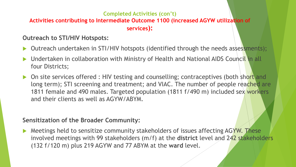### **Completed Activities (con't)**

**Activities contributing to Intermediate Outcome 1100 (increased AGYW utilization of services):**

**Outreach to STI/HIV Hotspots:**

- Outreach undertaken in STI/HIV hotspots (identified through the needs assessments);
- ▶ Undertaken in collaboration with Ministry of Health and National AIDS Council in all four Districts;
- On site services offered : HIV testing and counselling; contraceptives (both short and long term); STI screening and treatment; and VIAC. The number of people reached are 1811 female and 490 males. Targeted population (1811 f/490 m) included sex workers and their clients as well as AGYW/ABYM.

#### **Sensitization of the Broader Community:**

**Meetings held to sensitize community stakeholders of issues affecting AGYW. These** involved meetings with 99 stakeholders (m/f) at the **district** level and 242 stakeholders (132 f/120 m) plus 219 AGYW and 77 ABYM at the **ward** level.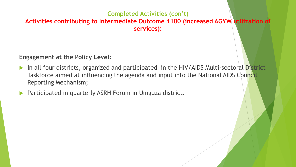#### **Completed Activities (con't) Activities contributing to Intermediate Outcome 1100 (increased AGYW utilization of services):**

#### **Engagement at the Policy Level:**

- In all four districts, organized and participated in the HIV/AIDS Multi-sectoral District Taskforce aimed at influencing the agenda and input into the National AIDS Council Reporting Mechanism;
- Participated in quarterly ASRH Forum in Umguza district.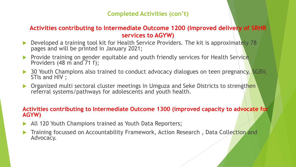#### **Completed Activities (con't)**

#### **Activities contributing to Intermediate Outcome 1200 (Improved delivery of SRHR services to AGYW)**

- Developed a training tool kit for Health Service Providers. The kit is approximately 78 pages and will be printed in January 2021;
- Provide training on gender equitable and youth friendly services for Health Service Providers (48 m and 71 f);
- ▶ 30 Youth Champions also trained to conduct advocacy dialogues on teen pregnancy, SGBV, STIs and HIV ;
- Organized multi sectoral cluster meetings in Umguza and Seke Districts to strengthen referral systems/pathways for adolescents and youth health.

#### **Activities contributing to Intermediate Outcome 1300 (improved capacity to advocate for AGYW)**

- All 120 Youth Champions trained as Youth Data Reporters;
- Training focussed on Accountability Framework, Action Research , Data Collection and Advocacy.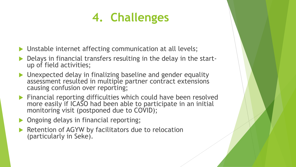# **4. Challenges**

- ▶ Unstable internet affecting communication at all levels;
- Delays in financial transfers resulting in the delay in the startup of field activities;
- Unexpected delay in finalizing baseline and gender equality assessment resulted in multiple partner contract extensions causing confusion over reporting;
- **Financial reporting difficulties which could have been resolved** more easily if ICASO had been able to participate in an initial monitoring visit (postponed due to COVID);
- **Ongoing delays in financial reporting;**
- Retention of AGYW by facilitators due to relocation (particularly in Seke).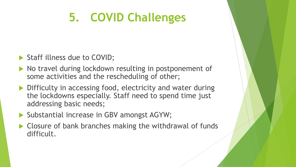# **5. COVID Challenges**

- Staff illness due to COVID;
- No travel during lockdown resulting in postponement of some activities and the rescheduling of other;
- ▶ Difficulty in accessing food, electricity and water during the lockdowns especially. Staff need to spend time just addressing basic needs;
- ▶ Substantial increase in GBV amongst AGYW;
- ▶ Closure of bank branches making the withdrawal of funds difficult.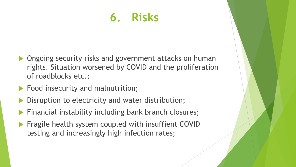# **6. Risks**

- Ongoing security risks and government attacks on human rights. Situation worsened by COVID and the proliferation of roadblocks etc.;
- Food insecurity and malnutrition;
- Disruption to electricity and water distribution;
- Financial instability including bank branch closures;
- Fragile health system coupled with insuffient COVID testing and increasingly high infection rates;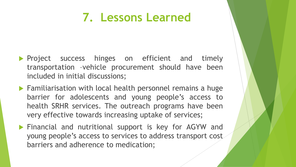## **7. Lessons Learned**

- **Project success hinges on efficient and timely** transportation –vehicle procurement should have been included in initial discussions;
- ▶ Familiarisation with local health personnel remains a huge barrier for adolescents and young people's access to health SRHR services. The outreach programs have been very effective towards increasing uptake of services;
- **Financial and nutritional support is key for AGYW and** young people's access to services to address transport cost barriers and adherence to medication;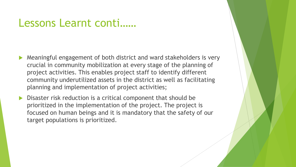### Lessons Learnt conti……

- Meaningful engagement of both district and ward stakeholders is very crucial in community mobilization at every stage of the planning of project activities. This enables project staff to identify different community underutilized assets in the district as well as facilitating planning and implementation of project activities;
- Disaster risk reduction is a critical component that should be prioritized in the implementation of the project. The project is focused on human beings and it is mandatory that the safety of our target populations is prioritized.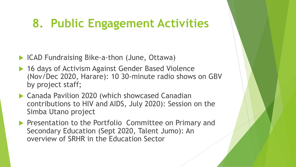# **8. Public Engagement Activities**

- ▶ ICAD Fundraising Bike-a-thon (June, Ottawa)
- ▶ 16 days of Activism Against Gender Based Violence (Nov/Dec 2020, Harare): 10 30-minute radio shows on GBV by project staff;
- Canada Pavilion 2020 (which showcased Canadian contributions to HIV and AIDS, July 2020): Session on the Simba Utano project
- **Presentation to the Portfolio Committee on Primary and** Secondary Education (Sept 2020, Talent Jumo): An overview of SRHR in the Education Sector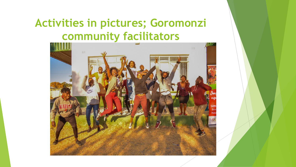### **Activities in pictures; Goromonzi community facilitators**

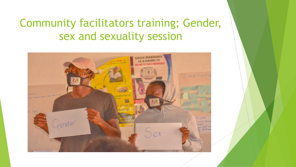## Community facilitators training; Gender, sex and sexuality session